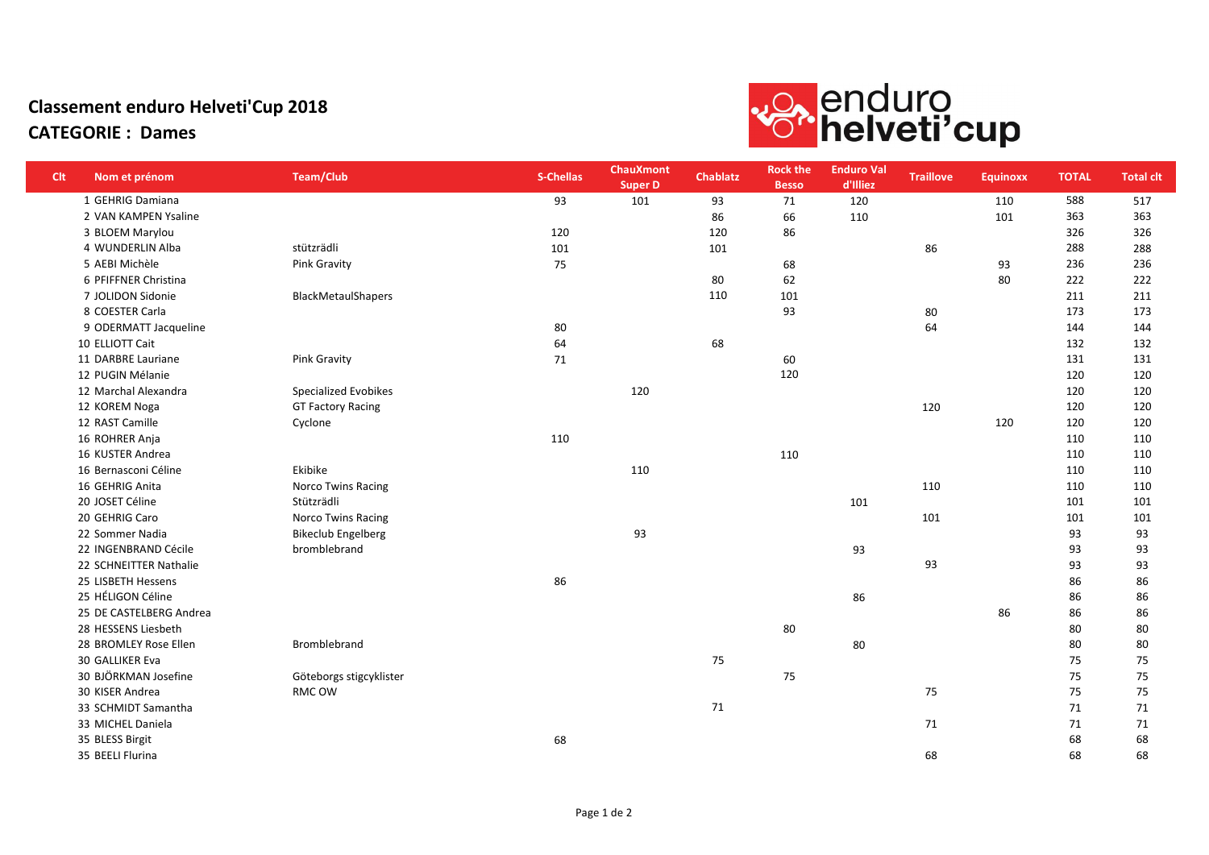## Classement enduro Helveti'Cup 2018 CATEGORIE : Dames



| <b>Clt</b> | Nom et prénom           | <b>Team/Club</b>          | <b>S-Chellas</b> | <b>ChauXmont</b><br><b>Super D</b> | <b>Chablatz</b> | <b>Rock the</b><br><b>Besso</b> | <b>Enduro Val</b><br>d'Illiez | <b>Traillove</b> | <b>Equinoxx</b> | <b>TOTAL</b> | <b>Total clt</b> |
|------------|-------------------------|---------------------------|------------------|------------------------------------|-----------------|---------------------------------|-------------------------------|------------------|-----------------|--------------|------------------|
|            | 1 GEHRIG Damiana        |                           | 93               | 101                                | 93              | 71                              | 120                           |                  | 110             | 588          | 517              |
|            | 2 VAN KAMPEN Ysaline    |                           |                  |                                    | 86              | 66                              | 110                           |                  | 101             | 363          | 363              |
|            | 3 BLOEM Marylou         |                           | 120              |                                    | 120             | 86                              |                               |                  |                 | 326          | 326              |
|            | 4 WUNDERLIN Alba        | stützrädli                | 101              |                                    | 101             |                                 |                               | 86               |                 | 288          | 288              |
|            | 5 AEBI Michèle          | Pink Gravity              | 75               |                                    |                 | 68                              |                               |                  | 93              | 236          | 236              |
|            | 6 PFIFFNER Christina    |                           |                  |                                    | 80              | 62                              |                               |                  | 80              | 222          | 222              |
|            | 7 JOLIDON Sidonie       | BlackMetaulShapers        |                  |                                    | 110             | 101                             |                               |                  |                 | 211          | 211              |
|            | 8 COESTER Carla         |                           |                  |                                    |                 | 93                              |                               | 80               |                 | 173          | 173              |
|            | 9 ODERMATT Jacqueline   |                           | 80               |                                    |                 |                                 |                               | 64               |                 | 144          | 144              |
|            | 10 ELLIOTT Cait         |                           | 64               |                                    | 68              |                                 |                               |                  |                 | 132          | 132              |
|            | 11 DARBRE Lauriane      | Pink Gravity              | 71               |                                    |                 | 60                              |                               |                  |                 | 131          | 131              |
|            | 12 PUGIN Mélanie        |                           |                  |                                    |                 | 120                             |                               |                  |                 | 120          | 120              |
|            | 12 Marchal Alexandra    | Specialized Evobikes      |                  | 120                                |                 |                                 |                               |                  |                 | 120          | 120              |
|            | 12 KOREM Noga           | <b>GT Factory Racing</b>  |                  |                                    |                 |                                 |                               | 120              |                 | 120          | 120              |
|            | 12 RAST Camille         | Cyclone                   |                  |                                    |                 |                                 |                               |                  | 120             | 120          | 120              |
|            | 16 ROHRER Anja          |                           | 110              |                                    |                 |                                 |                               |                  |                 | 110          | 110              |
|            | 16 KUSTER Andrea        |                           |                  |                                    |                 | 110                             |                               |                  |                 | 110          | 110              |
|            | 16 Bernasconi Céline    | Ekibike                   |                  | 110                                |                 |                                 |                               |                  |                 | 110          | 110              |
|            | 16 GEHRIG Anita         | <b>Norco Twins Racing</b> |                  |                                    |                 |                                 |                               | 110              |                 | 110          | 110              |
|            | 20 JOSET Céline         | Stützrädli                |                  |                                    |                 |                                 | 101                           |                  |                 | 101          | 101              |
|            | 20 GEHRIG Caro          | <b>Norco Twins Racing</b> |                  |                                    |                 |                                 |                               | 101              |                 | 101          | 101              |
|            | 22 Sommer Nadia         | <b>Bikeclub Engelberg</b> |                  | 93                                 |                 |                                 |                               |                  |                 | 93           | 93               |
|            | 22 INGENBRAND Cécile    | bromblebrand              |                  |                                    |                 |                                 | 93                            |                  |                 | 93           | 93               |
|            | 22 SCHNEITTER Nathalie  |                           |                  |                                    |                 |                                 |                               | 93               |                 | 93           | 93               |
|            | 25 LISBETH Hessens      |                           | 86               |                                    |                 |                                 |                               |                  |                 | 86           | 86               |
|            | 25 HÉLIGON Céline       |                           |                  |                                    |                 |                                 | 86                            |                  |                 | 86           | 86               |
|            | 25 DE CASTELBERG Andrea |                           |                  |                                    |                 |                                 |                               |                  | 86              | 86           | 86               |
|            | 28 HESSENS Liesbeth     |                           |                  |                                    |                 | 80                              |                               |                  |                 | 80           | 80               |
|            | 28 BROMLEY Rose Ellen   | Bromblebrand              |                  |                                    |                 |                                 | 80                            |                  |                 | 80           | 80               |
|            | 30 GALLIKER Eva         |                           |                  |                                    | 75              |                                 |                               |                  |                 | 75           | 75               |
|            | 30 BJÖRKMAN Josefine    | Göteborgs stigcyklister   |                  |                                    |                 | 75                              |                               |                  |                 | 75           | 75               |
|            | 30 KISER Andrea         | RMC OW                    |                  |                                    |                 |                                 |                               | 75               |                 | 75           | 75               |
|            | 33 SCHMIDT Samantha     |                           |                  |                                    | 71              |                                 |                               |                  |                 | 71           | 71               |
|            | 33 MICHEL Daniela       |                           |                  |                                    |                 |                                 |                               | 71               |                 | 71           | 71               |
|            | 35 BLESS Birgit         |                           | 68               |                                    |                 |                                 |                               |                  |                 | 68           | 68               |
|            | 35 BEELI Flurina        |                           |                  |                                    |                 |                                 |                               | 68               |                 | 68           | 68               |